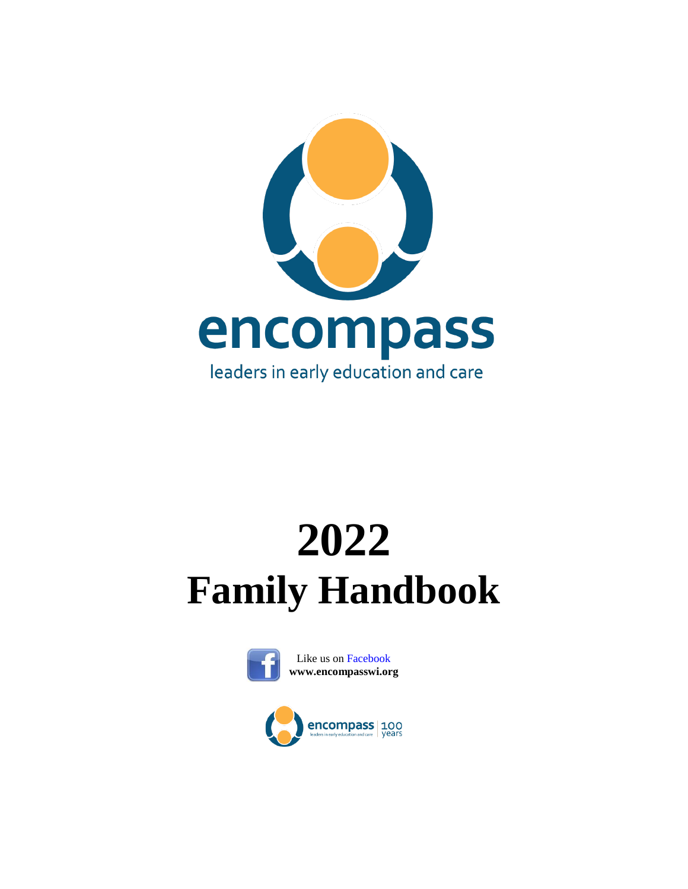

# **2022 Family Handbook**



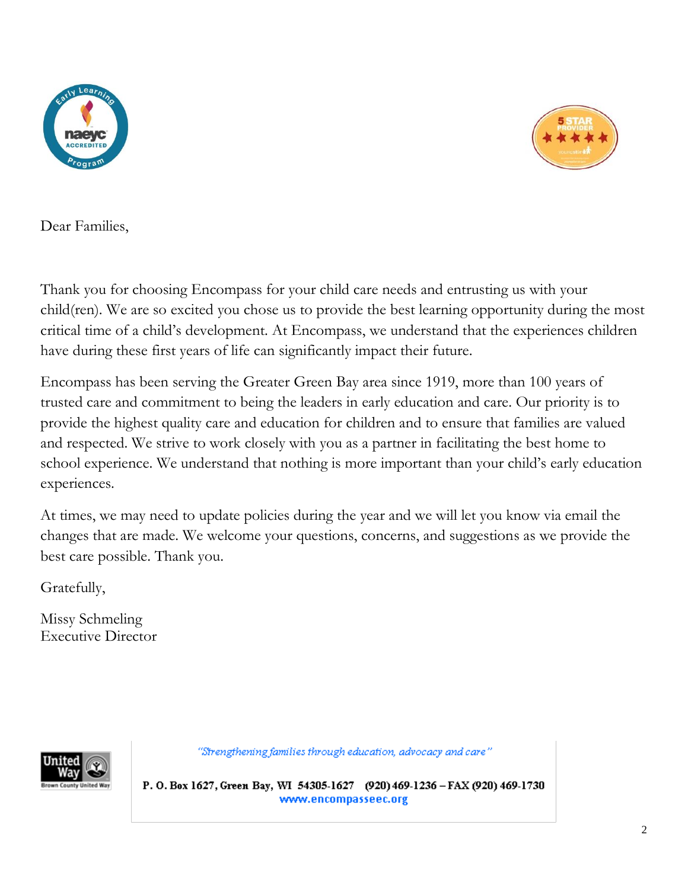



Dear Families,

Thank you for choosing Encompass for your child care needs and entrusting us with your child(ren). We are so excited you chose us to provide the best learning opportunity during the most critical time of a child's development. At Encompass, we understand that the experiences children have during these first years of life can significantly impact their future.

Encompass has been serving the Greater Green Bay area since 1919, more than 100 years of trusted care and commitment to being the leaders in early education and care. Our priority is to provide the highest quality care and education for children and to ensure that families are valued and respected. We strive to work closely with you as a partner in facilitating the best home to school experience. We understand that nothing is more important than your child's early education experiences.

At times, we may need to update policies during the year and we will let you know via email the changes that are made. We welcome your questions, concerns, and suggestions as we provide the best care possible. Thank you.

Gratefully,

Missy Schmeling Executive Director



"Strengthening families through education, advocacy and care"

P. O. Box 1627, Green Bay, WI 54305-1627 (920) 469-1236 - FAX (920) 469-1730 www.encompasseec.org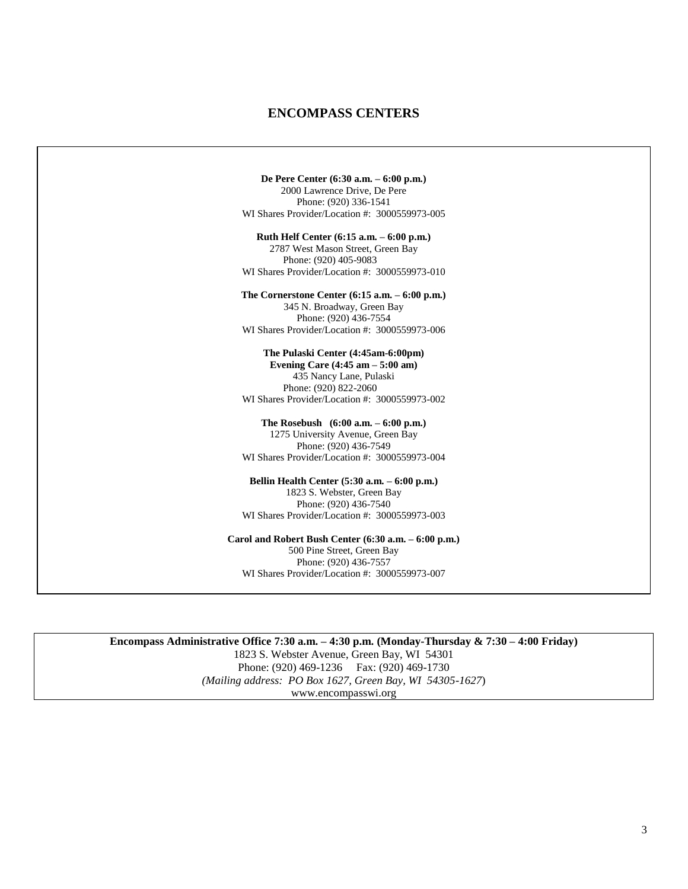# **ENCOMPASS CENTERS**

**De Pere Center (6:30 a.m. – 6:00 p.m.)** 2000 Lawrence Drive, De Pere Phone: (920) 336-1541 WI Shares Provider/Location #: 3000559973-005 **Ruth Helf Center (6:15 a.m. – 6:00 p.m.)** 2787 West Mason Street, Green Bay Phone: (920) 405-9083 WI Shares Provider/Location #: 3000559973-010 **The Cornerstone Center (6:15 a.m. – 6:00 p.m.)** 345 N. Broadway, Green Bay Phone: (920) 436-7554 WI Shares Provider/Location #: 3000559973-006 **The Pulaski Center (4:45am-6:00pm) Evening Care (4:45 am – 5:00 am)** 435 Nancy Lane, Pulaski Phone: (920) 822-2060 WI Shares Provider/Location #: 3000559973-002 **The Rosebush (6:00 a.m. – 6:00 p.m.)** 1275 University Avenue, Green Bay Phone: (920) 436-7549 WI Shares Provider/Location #: 3000559973-004 **Bellin Health Center (5:30 a.m. – 6:00 p.m.)** 1823 S. Webster, Green Bay Phone: (920) 436-7540 WI Shares Provider/Location #: 3000559973-003 **Carol and Robert Bush Center (6:30 a.m. – 6:00 p.m.)** 500 Pine Street, Green Bay Phone: (920) 436-7557 WI Shares Provider/Location #: 3000559973-007

**Encompass Administrative Office 7:30 a.m. – 4:30 p.m. (Monday-Thursday & 7:30 – 4:00 Friday)** 1823 S. Webster Avenue, Green Bay, WI 54301 Phone: (920) 469-1236 Fax: (920) 469-1730 *(Mailing address: PO Box 1627, Green Bay, WI 54305-1627*) www.encompasswi.org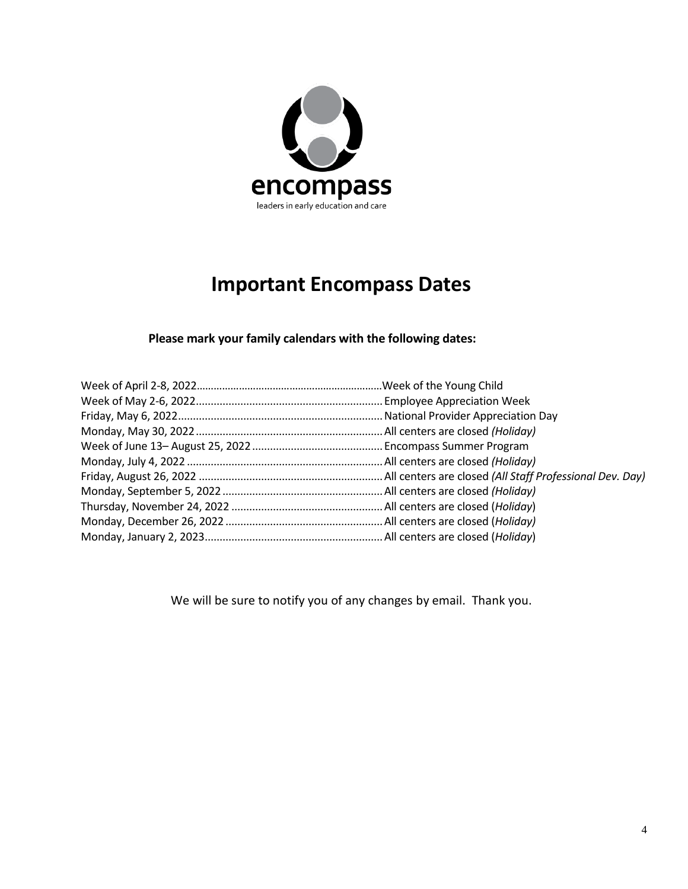

# **Important Encompass Dates**

# **Please mark your family calendars with the following dates:**

We will be sure to notify you of any changes by email. Thank you.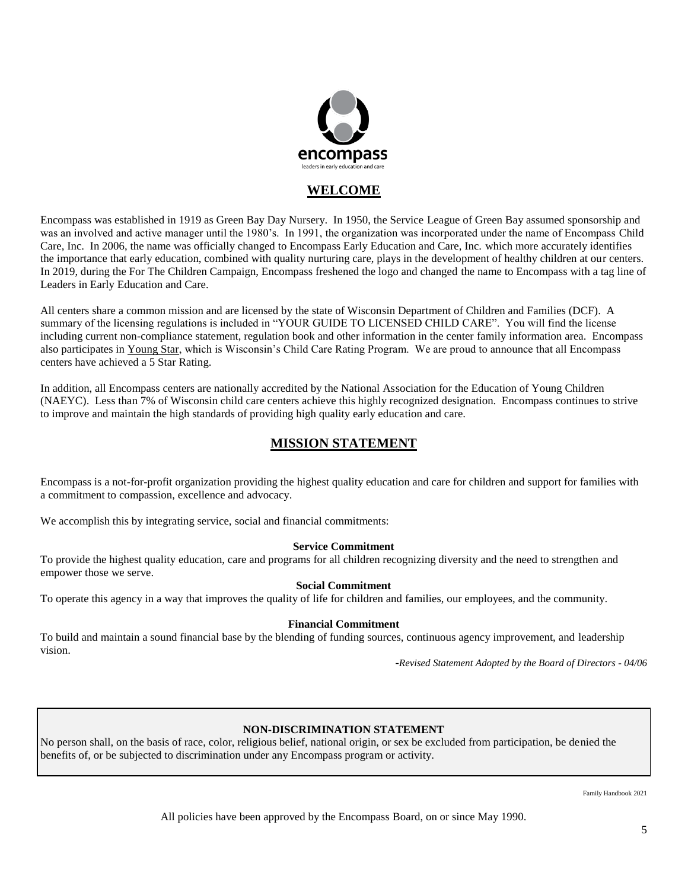

# **WELCOME**

Encompass was established in 1919 as Green Bay Day Nursery. In 1950, the Service League of Green Bay assumed sponsorship and was an involved and active manager until the 1980's. In 1991, the organization was incorporated under the name of Encompass Child Care, Inc. In 2006, the name was officially changed to Encompass Early Education and Care, Inc. which more accurately identifies the importance that early education, combined with quality nurturing care, plays in the development of healthy children at our centers. In 2019, during the For The Children Campaign, Encompass freshened the logo and changed the name to Encompass with a tag line of Leaders in Early Education and Care.

All centers share a common mission and are licensed by the state of Wisconsin Department of Children and Families (DCF). A summary of the licensing regulations is included in "YOUR GUIDE TO LICENSED CHILD CARE". You will find the license including current non-compliance statement, regulation book and other information in the center family information area. Encompass also participates in Young Star, which is Wisconsin's Child Care Rating Program. We are proud to announce that all Encompass centers have achieved a 5 Star Rating.

In addition, all Encompass centers are nationally accredited by the National Association for the Education of Young Children (NAEYC). Less than 7% of Wisconsin child care centers achieve this highly recognized designation. Encompass continues to strive to improve and maintain the high standards of providing high quality early education and care.

# **MISSION STATEMENT**

Encompass is a not-for-profit organization providing the highest quality education and care for children and support for families with a commitment to compassion, excellence and advocacy.

We accomplish this by integrating service, social and financial commitments:

#### **Service Commitment**

To provide the highest quality education, care and programs for all children recognizing diversity and the need to strengthen and empower those we serve.

#### **Social Commitment**

To operate this agency in a way that improves the quality of life for children and families, our employees, and the community.

#### **Financial Commitment**

To build and maintain a sound financial base by the blending of funding sources, continuous agency improvement, and leadership vision.

-*Revised Statement Adopted by the Board of Directors - 04/06*

#### **NON-DISCRIMINATION STATEMENT**

No person shall, on the basis of race, color, religious belief, national origin, or sex be excluded from participation, be denied the benefits of, or be subjected to discrimination under any Encompass program or activity.

Family Handbook 2021

All policies have been approved by the Encompass Board, on or since May 1990.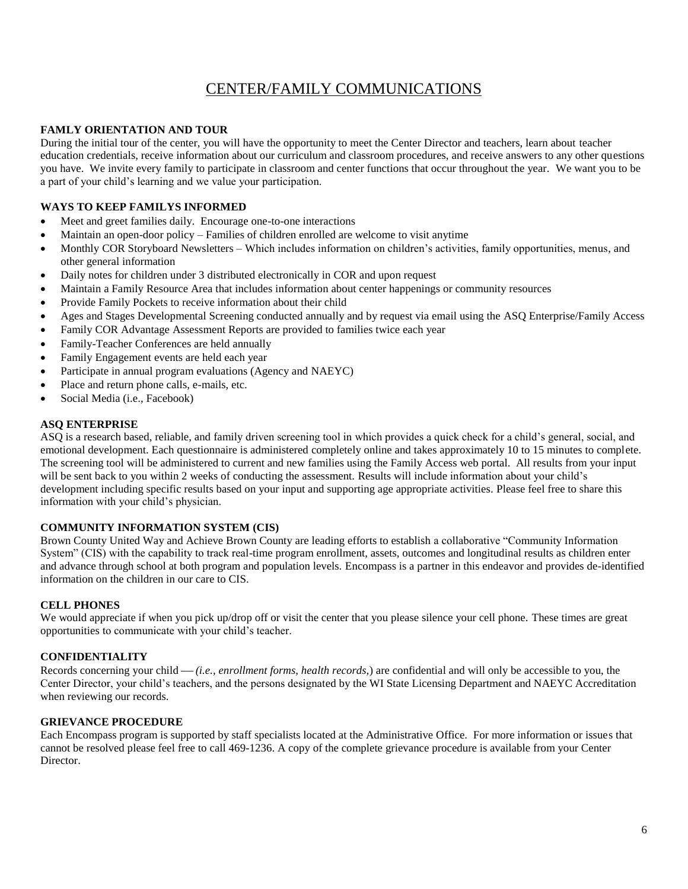# CENTER/FAMILY COMMUNICATIONS

### **FAMLY ORIENTATION AND TOUR**

During the initial tour of the center, you will have the opportunity to meet the Center Director and teachers, learn about teacher education credentials, receive information about our curriculum and classroom procedures, and receive answers to any other questions you have. We invite every family to participate in classroom and center functions that occur throughout the year. We want you to be a part of your child's learning and we value your participation.

# **WAYS TO KEEP FAMILYS INFORMED**

- Meet and greet families daily. Encourage one-to-one interactions
- Maintain an open-door policy Families of children enrolled are welcome to visit anytime
- Monthly COR Storyboard Newsletters Which includes information on children's activities, family opportunities, menus, and other general information
- Daily notes for children under 3 distributed electronically in COR and upon request
- Maintain a Family Resource Area that includes information about center happenings or community resources
- Provide Family Pockets to receive information about their child
- Ages and Stages Developmental Screening conducted annually and by request via email using the ASQ Enterprise/Family Access
- Family COR Advantage Assessment Reports are provided to families twice each year
- Family-Teacher Conferences are held annually
- Family Engagement events are held each year
- Participate in annual program evaluations (Agency and NAEYC)
- Place and return phone calls, e-mails, etc.
- Social Media (i.e., Facebook)

#### **ASQ ENTERPRISE**

ASQ is a research based, reliable, and family driven screening tool in which provides a quick check for a child's general, social, and emotional development. Each questionnaire is administered completely online and takes approximately 10 to 15 minutes to complete. The screening tool will be administered to current and new families using the Family Access web portal. All results from your input will be sent back to you within 2 weeks of conducting the assessment. Results will include information about your child's development including specific results based on your input and supporting age appropriate activities. Please feel free to share this information with your child's physician.

#### **COMMUNITY INFORMATION SYSTEM (CIS)**

Brown County United Way and Achieve Brown County are leading efforts to establish a collaborative "Community Information System" (CIS) with the capability to track real-time program enrollment, assets, outcomes and longitudinal results as children enter and advance through school at both program and population levels. Encompass is a partner in this endeavor and provides de-identified information on the children in our care to CIS.

#### **CELL PHONES**

We would appreciate if when you pick up/drop off or visit the center that you please silence your cell phone. These times are great opportunities to communicate with your child's teacher.

#### **CONFIDENTIALITY**

Records concerning your child — *(i.e., enrollment forms, health records,)* are confidential and will only be accessible to you, the Center Director, your child's teachers, and the persons designated by the WI State Licensing Department and NAEYC Accreditation when reviewing our records.

#### **GRIEVANCE PROCEDURE**

Each Encompass program is supported by staff specialists located at the Administrative Office. For more information or issues that cannot be resolved please feel free to call 469-1236. A copy of the complete grievance procedure is available from your Center Director.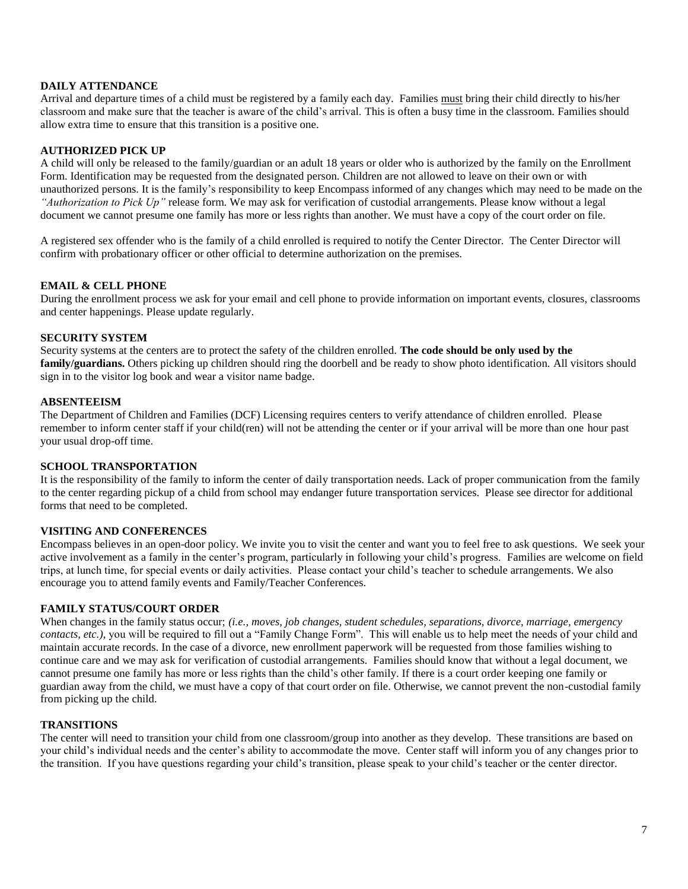#### **DAILY ATTENDANCE**

Arrival and departure times of a child must be registered by a family each day. Families must bring their child directly to his/her classroom and make sure that the teacher is aware of the child's arrival. This is often a busy time in the classroom. Families should allow extra time to ensure that this transition is a positive one.

#### **AUTHORIZED PICK UP**

A child will only be released to the family/guardian or an adult 18 years or older who is authorized by the family on the Enrollment Form. Identification may be requested from the designated person. Children are not allowed to leave on their own or with unauthorized persons. It is the family's responsibility to keep Encompass informed of any changes which may need to be made on the *"Authorization to Pick Up"* release form. We may ask for verification of custodial arrangements. Please know without a legal document we cannot presume one family has more or less rights than another. We must have a copy of the court order on file.

A registered sex offender who is the family of a child enrolled is required to notify the Center Director. The Center Director will confirm with probationary officer or other official to determine authorization on the premises.

#### **EMAIL & CELL PHONE**

During the enrollment process we ask for your email and cell phone to provide information on important events, closures, classrooms and center happenings. Please update regularly.

#### **SECURITY SYSTEM**

Security systems at the centers are to protect the safety of the children enrolled. **The code should be only used by the family/guardians.** Others picking up children should ring the doorbell and be ready to show photo identification. All visitors should sign in to the visitor log book and wear a visitor name badge.

#### **ABSENTEEISM**

The Department of Children and Families (DCF) Licensing requires centers to verify attendance of children enrolled. Please remember to inform center staff if your child(ren) will not be attending the center or if your arrival will be more than one hour past your usual drop-off time.

#### **SCHOOL TRANSPORTATION**

It is the responsibility of the family to inform the center of daily transportation needs. Lack of proper communication from the family to the center regarding pickup of a child from school may endanger future transportation services. Please see director for additional forms that need to be completed.

#### **VISITING AND CONFERENCES**

Encompass believes in an open-door policy. We invite you to visit the center and want you to feel free to ask questions. We seek your active involvement as a family in the center's program, particularly in following your child's progress. Families are welcome on field trips, at lunch time, for special events or daily activities. Please contact your child's teacher to schedule arrangements. We also encourage you to attend family events and Family/Teacher Conferences.

#### **FAMILY STATUS/COURT ORDER**

When changes in the family status occur; *(i.e., moves, job changes, student schedules, separations, divorce, marriage, emergency contacts, etc.),* you will be required to fill out a "Family Change Form". This will enable us to help meet the needs of your child and maintain accurate records. In the case of a divorce, new enrollment paperwork will be requested from those families wishing to continue care and we may ask for verification of custodial arrangements. Families should know that without a legal document, we cannot presume one family has more or less rights than the child's other family. If there is a court order keeping one family or guardian away from the child, we must have a copy of that court order on file. Otherwise, we cannot prevent the non-custodial family from picking up the child.

#### **TRANSITIONS**

The center will need to transition your child from one classroom/group into another as they develop. These transitions are based on your child's individual needs and the center's ability to accommodate the move. Center staff will inform you of any changes prior to the transition. If you have questions regarding your child's transition, please speak to your child's teacher or the center director.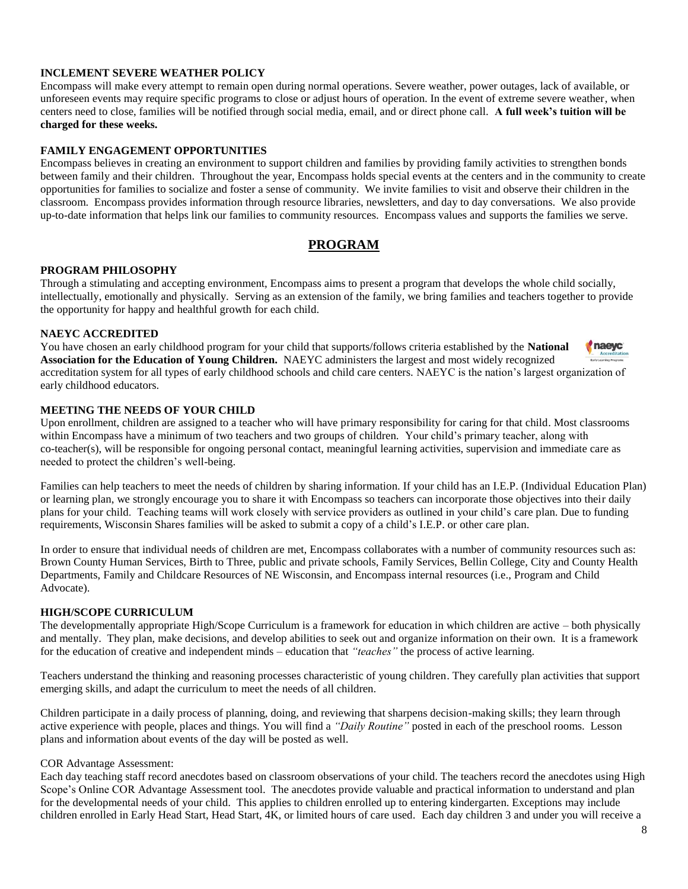#### **INCLEMENT SEVERE WEATHER POLICY**

Encompass will make every attempt to remain open during normal operations. Severe weather, power outages, lack of available, or unforeseen events may require specific programs to close or adjust hours of operation. In the event of extreme severe weather, when centers need to close, families will be notified through social media, email, and or direct phone call. **A full week's tuition will be charged for these weeks.**

#### **FAMILY ENGAGEMENT OPPORTUNITIES**

Encompass believes in creating an environment to support children and families by providing family activities to strengthen bonds between family and their children. Throughout the year, Encompass holds special events at the centers and in the community to create opportunities for families to socialize and foster a sense of community. We invite families to visit and observe their children in the classroom. Encompass provides information through resource libraries, newsletters, and day to day conversations. We also provide up-to-date information that helps link our families to community resources. Encompass values and supports the families we serve.

# **PROGRAM**

#### **PROGRAM PHILOSOPHY**

Through a stimulating and accepting environment, Encompass aims to present a program that develops the whole child socially, intellectually, emotionally and physically. Serving as an extension of the family, we bring families and teachers together to provide the opportunity for happy and healthful growth for each child.

#### **NAEYC ACCREDITED**

You have chosen an early childhood program for your child that supports/follows criteria established by the **National**  naeyc **Association for the Education of Young Children.** NAEYC administers the largest and most widely recognized accreditation system for all types of early childhood schools and child care centers. NAEYC is the nation's largest organization of early childhood educators.

#### **MEETING THE NEEDS OF YOUR CHILD**

Upon enrollment, children are assigned to a teacher who will have primary responsibility for caring for that child. Most classrooms within Encompass have a minimum of two teachers and two groups of children. Your child's primary teacher, along with co-teacher(s), will be responsible for ongoing personal contact, meaningful learning activities, supervision and immediate care as needed to protect the children's well-being.

Families can help teachers to meet the needs of children by sharing information. If your child has an I.E.P. (Individual Education Plan) or learning plan, we strongly encourage you to share it with Encompass so teachers can incorporate those objectives into their daily plans for your child. Teaching teams will work closely with service providers as outlined in your child's care plan. Due to funding requirements, Wisconsin Shares families will be asked to submit a copy of a child's I.E.P. or other care plan.

In order to ensure that individual needs of children are met, Encompass collaborates with a number of community resources such as: Brown County Human Services, Birth to Three, public and private schools, Family Services, Bellin College, City and County Health Departments, Family and Childcare Resources of NE Wisconsin, and Encompass internal resources (i.e., Program and Child Advocate).

#### **HIGH/SCOPE CURRICULUM**

The developmentally appropriate High/Scope Curriculum is a framework for education in which children are active – both physically and mentally. They plan, make decisions, and develop abilities to seek out and organize information on their own. It is a framework for the education of creative and independent minds – education that *"teaches"* the process of active learning.

Teachers understand the thinking and reasoning processes characteristic of young children. They carefully plan activities that support emerging skills, and adapt the curriculum to meet the needs of all children.

Children participate in a daily process of planning, doing, and reviewing that sharpens decision-making skills; they learn through active experience with people, places and things. You will find a *"Daily Routine"* posted in each of the preschool rooms. Lesson plans and information about events of the day will be posted as well.

#### COR Advantage Assessment:

Each day teaching staff record anecdotes based on classroom observations of your child. The teachers record the anecdotes using High Scope's Online COR Advantage Assessment tool. The anecdotes provide valuable and practical information to understand and plan for the developmental needs of your child. This applies to children enrolled up to entering kindergarten. Exceptions may include children enrolled in Early Head Start, Head Start, 4K, or limited hours of care used. Each day children 3 and under you will receive a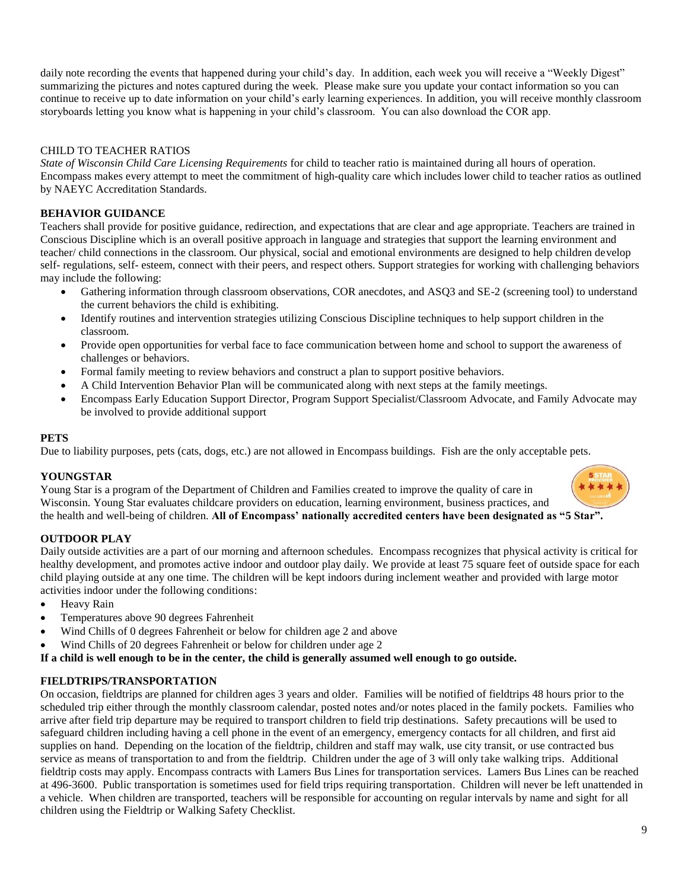daily note recording the events that happened during your child's day. In addition, each week you will receive a "Weekly Digest" summarizing the pictures and notes captured during the week. Please make sure you update your contact information so you can continue to receive up to date information on your child's early learning experiences. In addition, you will receive monthly classroom storyboards letting you know what is happening in your child's classroom. You can also download the COR app.

#### CHILD TO TEACHER RATIOS

*State of Wisconsin Child Care Licensing Requirements* for child to teacher ratio is maintained during all hours of operation. Encompass makes every attempt to meet the commitment of high-quality care which includes lower child to teacher ratios as outlined by NAEYC Accreditation Standards.

#### **BEHAVIOR GUIDANCE**

Teachers shall provide for positive guidance, redirection, and expectations that are clear and age appropriate. Teachers are trained in Conscious Discipline which is an overall positive approach in language and strategies that support the learning environment and teacher/ child connections in the classroom. Our physical, social and emotional environments are designed to help children develop self- regulations, self- esteem, connect with their peers, and respect others. Support strategies for working with challenging behaviors may include the following:

- Gathering information through classroom observations, COR anecdotes, and ASQ3 and SE-2 (screening tool) to understand the current behaviors the child is exhibiting.
- Identify routines and intervention strategies utilizing Conscious Discipline techniques to help support children in the classroom.
- Provide open opportunities for verbal face to face communication between home and school to support the awareness of challenges or behaviors.
- Formal family meeting to review behaviors and construct a plan to support positive behaviors.
- A Child Intervention Behavior Plan will be communicated along with next steps at the family meetings.
- Encompass Early Education Support Director, Program Support Specialist/Classroom Advocate, and Family Advocate may be involved to provide additional support

#### **PETS**

Due to liability purposes, pets (cats, dogs, etc.) are not allowed in Encompass buildings. Fish are the only acceptable pets.

#### **YOUNGSTAR**

Young Star is a program of the Department of Children and Families created to improve the quality of care in Wisconsin. Young Star evaluates childcare providers on education, learning environment, business practices, and the health and well-being of children. **All of Encompass' nationally accredited centers have been designated as "5 Star".**

#### **OUTDOOR PLAY**

Daily outside activities are a part of our morning and afternoon schedules. Encompass recognizes that physical activity is critical for healthy development, and promotes active indoor and outdoor play daily. We provide at least 75 square feet of outside space for each child playing outside at any one time. The children will be kept indoors during inclement weather and provided with large motor activities indoor under the following conditions:

- Heavy Rain
- Temperatures above 90 degrees Fahrenheit
- Wind Chills of 0 degrees Fahrenheit or below for children age 2 and above
- Wind Chills of 20 degrees Fahrenheit or below for children under age 2

**If a child is well enough to be in the center, the child is generally assumed well enough to go outside.**

#### **FIELDTRIPS/TRANSPORTATION**

On occasion, fieldtrips are planned for children ages 3 years and older. Families will be notified of fieldtrips 48 hours prior to the scheduled trip either through the monthly classroom calendar, posted notes and/or notes placed in the family pockets. Families who arrive after field trip departure may be required to transport children to field trip destinations. Safety precautions will be used to safeguard children including having a cell phone in the event of an emergency, emergency contacts for all children, and first aid supplies on hand. Depending on the location of the fieldtrip, children and staff may walk, use city transit, or use contracted bus service as means of transportation to and from the fieldtrip. Children under the age of 3 will only take walking trips. Additional fieldtrip costs may apply. Encompass contracts with Lamers Bus Lines for transportation services. Lamers Bus Lines can be reached at 496-3600. Public transportation is sometimes used for field trips requiring transportation. Children will never be left unattended in a vehicle. When children are transported, teachers will be responsible for accounting on regular intervals by name and sight for all children using the Fieldtrip or Walking Safety Checklist.

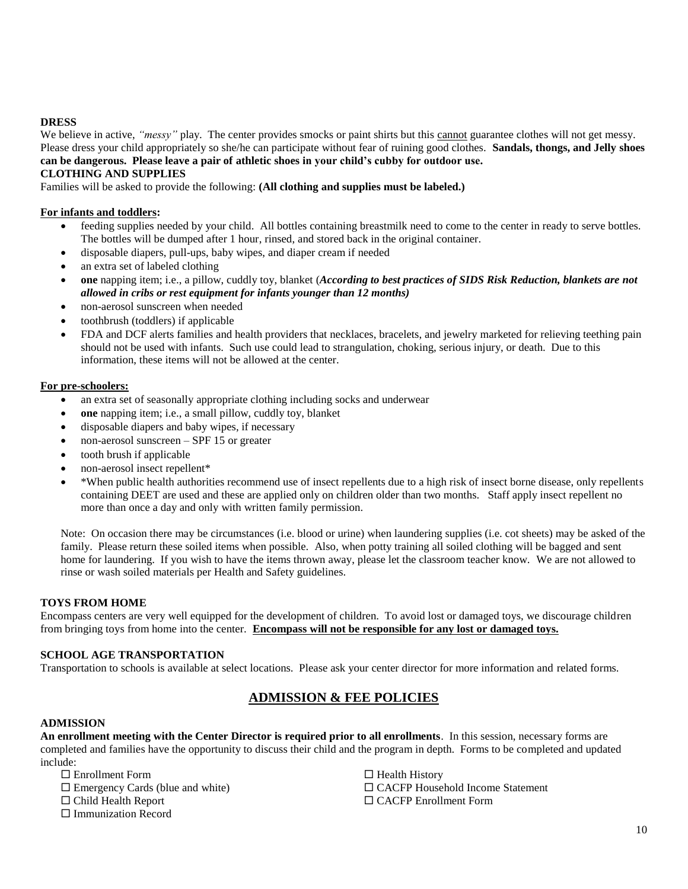#### **DRESS**

We believe in active, "messy" play. The center provides smocks or paint shirts but this cannot guarantee clothes will not get messy. Please dress your child appropriately so she/he can participate without fear of ruining good clothes. **Sandals, thongs, and Jelly shoes can be dangerous. Please leave a pair of athletic shoes in your child's cubby for outdoor use.**

#### **CLOTHING AND SUPPLIES**

Families will be asked to provide the following: **(All clothing and supplies must be labeled.)**

#### **For infants and toddlers:**

- feeding supplies needed by your child. All bottles containing breastmilk need to come to the center in ready to serve bottles. The bottles will be dumped after 1 hour, rinsed, and stored back in the original container.
- disposable diapers, pull-ups, baby wipes, and diaper cream if needed
- an extra set of labeled clothing
- **one** napping item; i.e., a pillow, cuddly toy, blanket (*According to best practices of SIDS Risk Reduction, blankets are not allowed in cribs or rest equipment for infants younger than 12 months)*
- non-aerosol sunscreen when needed
- toothbrush (toddlers) if applicable
- FDA and DCF alerts families and health providers that necklaces, bracelets, and jewelry marketed for relieving teething pain should not be used with infants. Such use could lead to strangulation, choking, serious injury, or death. Due to this information, these items will not be allowed at the center.

#### **For pre-schoolers:**

- an extra set of seasonally appropriate clothing including socks and underwear
- **one** napping item; i.e., a small pillow, cuddly toy, blanket
- disposable diapers and baby wipes, if necessary
- non-aerosol sunscreen SPF 15 or greater
- tooth brush if applicable
- non-aerosol insect repellent\*
- \*When public health authorities recommend use of insect repellents due to a high risk of insect borne disease, only repellents containing DEET are used and these are applied only on children older than two months. Staff apply insect repellent no more than once a day and only with written family permission.

Note: On occasion there may be circumstances (i.e. blood or urine) when laundering supplies (i.e. cot sheets) may be asked of the family. Please return these soiled items when possible. Also, when potty training all soiled clothing will be bagged and sent home for laundering. If you wish to have the items thrown away, please let the classroom teacher know. We are not allowed to rinse or wash soiled materials per Health and Safety guidelines.

#### **TOYS FROM HOME**

Encompass centers are very well equipped for the development of children. To avoid lost or damaged toys, we discourage children from bringing toys from home into the center. **Encompass will not be responsible for any lost or damaged toys.**

#### **SCHOOL AGE TRANSPORTATION**

Transportation to schools is available at select locations. Please ask your center director for more information and related forms.

# **ADMISSION & FEE POLICIES**

#### **ADMISSION**

**An enrollment meeting with the Center Director is required prior to all enrollments**. In this session, necessary forms are completed and families have the opportunity to discuss their child and the program in depth. Forms to be completed and updated include:

- Enrollment Form
- $\square$  Emergency Cards (blue and white)
- □ Child Health Report
- $\Box$  Immunization Record

 $\Box$  Health History □ CACFP Household Income Statement □ CACFP Enrollment Form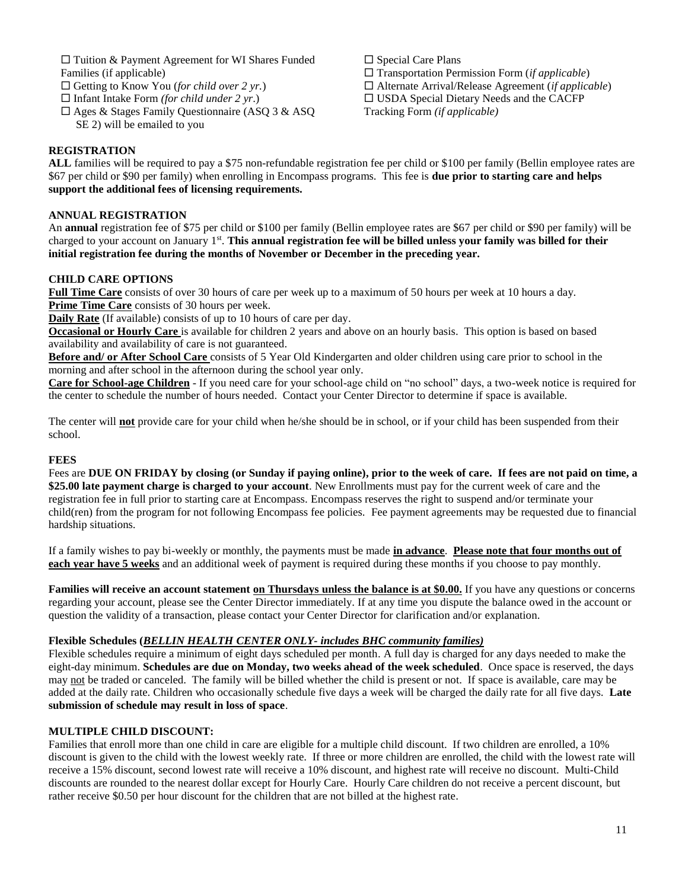$\square$  Tuition & Payment Agreement for WI Shares Funded Families (if applicable)

- □ Getting to Know You (*for child over 2 yr.*)
- Infant Intake Form *(for child under 2 yr*.)
- $\square$  Ages & Stages Family Questionnaire (ASQ 3 & ASQ SE 2) will be emailed to you

 $\square$  Special Care Plans Transportation Permission Form (*if applicable*) Alternate Arrival/Release Agreement (*if applicable*) USDA Special Dietary Needs and the CACFP Tracking Form *(if applicable)*

#### **REGISTRATION**

**ALL** families will be required to pay a \$75 non-refundable registration fee per child or \$100 per family (Bellin employee rates are \$67 per child or \$90 per family) when enrolling in Encompass programs. This fee is **due prior to starting care and helps support the additional fees of licensing requirements.**

#### **ANNUAL REGISTRATION**

An **annual** registration fee of \$75 per child or \$100 per family (Bellin employee rates are \$67 per child or \$90 per family) will be charged to your account on January 1<sup>st</sup>. This annual registration fee will be billed unless your family was billed for their **initial registration fee during the months of November or December in the preceding year.**

#### **CHILD CARE OPTIONS**

**Full Time Care** consists of over 30 hours of care per week up to a maximum of 50 hours per week at 10 hours a day. **Prime Time Care** consists of 30 hours per week.

**Daily Rate** (If available) consists of up to 10 hours of care per day.

**Occasional or Hourly Care** is available for children 2 years and above on an hourly basis. This option is based on based availability and availability of care is not guaranteed.

**Before and/ or After School Care** consists of 5 Year Old Kindergarten and older children using care prior to school in the morning and after school in the afternoon during the school year only.

**Care for School-age Children** - If you need care for your school-age child on "no school" days, a two-week notice is required for the center to schedule the number of hours needed. Contact your Center Director to determine if space is available.

The center will **not** provide care for your child when he/she should be in school, or if your child has been suspended from their school.

#### **FEES**

Fees are **DUE ON FRIDAY by closing (or Sunday if paying online), prior to the week of care. If fees are not paid on time, a \$25.00 late payment charge is charged to your account**. New Enrollments must pay for the current week of care and the registration fee in full prior to starting care at Encompass. Encompass reserves the right to suspend and/or terminate your child(ren) from the program for not following Encompass fee policies. Fee payment agreements may be requested due to financial hardship situations.

If a family wishes to pay bi-weekly or monthly, the payments must be made **in advance**. **Please note that four months out of each year have 5 weeks** and an additional week of payment is required during these months if you choose to pay monthly.

**Families will receive an account statement on Thursdays unless the balance is at \$0.00.** If you have any questions or concerns regarding your account, please see the Center Director immediately. If at any time you dispute the balance owed in the account or question the validity of a transaction, please contact your Center Director for clarification and/or explanation.

#### **Flexible Schedules (***BELLIN HEALTH CENTER ONLY- includes BHC community families)*

Flexible schedules require a minimum of eight days scheduled per month. A full day is charged for any days needed to make the eight-day minimum. **Schedules are due on Monday, two weeks ahead of the week scheduled**. Once space is reserved, the days may not be traded or canceled. The family will be billed whether the child is present or not. If space is available, care may be added at the daily rate. Children who occasionally schedule five days a week will be charged the daily rate for all five days. **Late submission of schedule may result in loss of space**.

#### **MULTIPLE CHILD DISCOUNT:**

Families that enroll more than one child in care are eligible for a multiple child discount. If two children are enrolled, a 10% discount is given to the child with the lowest weekly rate. If three or more children are enrolled, the child with the lowest rate will receive a 15% discount, second lowest rate will receive a 10% discount, and highest rate will receive no discount. Multi-Child discounts are rounded to the nearest dollar except for Hourly Care. Hourly Care children do not receive a percent discount, but rather receive \$0.50 per hour discount for the children that are not billed at the highest rate.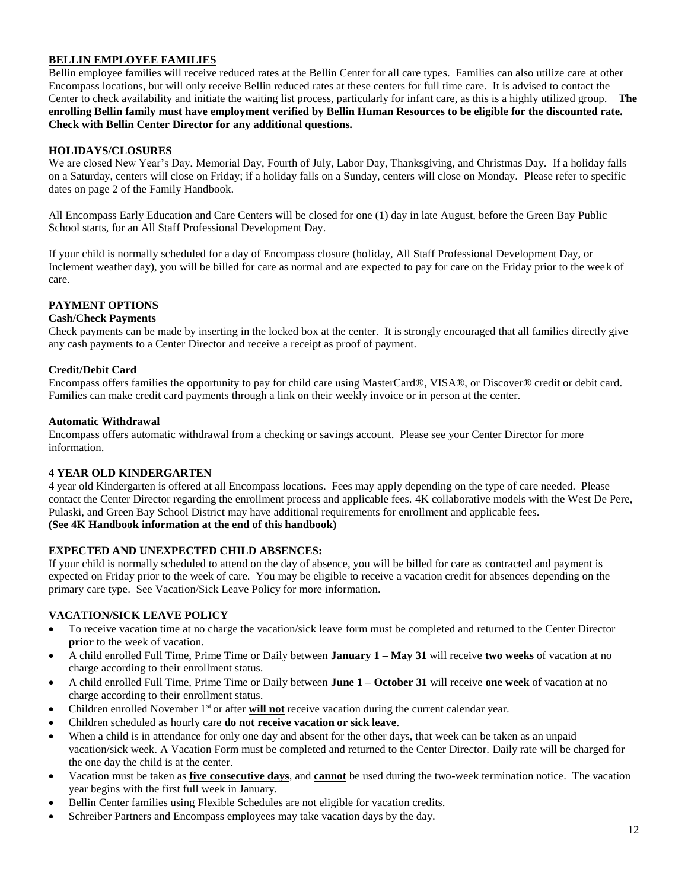#### **BELLIN EMPLOYEE FAMILIES**

Bellin employee families will receive reduced rates at the Bellin Center for all care types. Families can also utilize care at other Encompass locations, but will only receive Bellin reduced rates at these centers for full time care. It is advised to contact the Center to check availability and initiate the waiting list process, particularly for infant care, as this is a highly utilized group. **The enrolling Bellin family must have employment verified by Bellin Human Resources to be eligible for the discounted rate. Check with Bellin Center Director for any additional questions.** 

#### **HOLIDAYS/CLOSURES**

We are closed New Year's Day, Memorial Day, Fourth of July, Labor Day, Thanksgiving, and Christmas Day. If a holiday falls on a Saturday, centers will close on Friday; if a holiday falls on a Sunday, centers will close on Monday. Please refer to specific dates on page 2 of the Family Handbook.

All Encompass Early Education and Care Centers will be closed for one (1) day in late August, before the Green Bay Public School starts, for an All Staff Professional Development Day.

If your child is normally scheduled for a day of Encompass closure (holiday, All Staff Professional Development Day, or Inclement weather day), you will be billed for care as normal and are expected to pay for care on the Friday prior to the week of care.

#### **PAYMENT OPTIONS**

#### **Cash/Check Payments**

Check payments can be made by inserting in the locked box at the center. It is strongly encouraged that all families directly give any cash payments to a Center Director and receive a receipt as proof of payment.

#### **Credit/Debit Card**

Encompass offers families the opportunity to pay for child care using MasterCard®, VISA®, or Discover® credit or debit card. Families can make credit card payments through a link on their weekly invoice or in person at the center.

#### **Automatic Withdrawal**

Encompass offers automatic withdrawal from a checking or savings account. Please see your Center Director for more information.

#### **4 YEAR OLD KINDERGARTEN**

4 year old Kindergarten is offered at all Encompass locations. Fees may apply depending on the type of care needed. Please contact the Center Director regarding the enrollment process and applicable fees. 4K collaborative models with the West De Pere, Pulaski, and Green Bay School District may have additional requirements for enrollment and applicable fees. **(See 4K Handbook information at the end of this handbook)**

#### **EXPECTED AND UNEXPECTED CHILD ABSENCES:**

If your child is normally scheduled to attend on the day of absence, you will be billed for care as contracted and payment is expected on Friday prior to the week of care. You may be eligible to receive a vacation credit for absences depending on the primary care type. See Vacation/Sick Leave Policy for more information.

#### **VACATION/SICK LEAVE POLICY**

- To receive vacation time at no charge the vacation/sick leave form must be completed and returned to the Center Director **prior** to the week of vacation.
- A child enrolled Full Time, Prime Time or Daily between **January 1 – May 31** will receive **two weeks** of vacation at no charge according to their enrollment status.
- A child enrolled Full Time, Prime Time or Daily between **June 1 – October 31** will receive **one week** of vacation at no charge according to their enrollment status.
- Children enrolled November 1<sup>st</sup> or after **will not** receive vacation during the current calendar year.
- Children scheduled as hourly care **do not receive vacation or sick leave**.
- When a child is in attendance for only one day and absent for the other days, that week can be taken as an unpaid vacation/sick week. A Vacation Form must be completed and returned to the Center Director. Daily rate will be charged for the one day the child is at the center.
- Vacation must be taken as **five consecutive days**, and **cannot** be used during the two-week termination notice. The vacation year begins with the first full week in January.
- Bellin Center families using Flexible Schedules are not eligible for vacation credits.
- Schreiber Partners and Encompass employees may take vacation days by the day.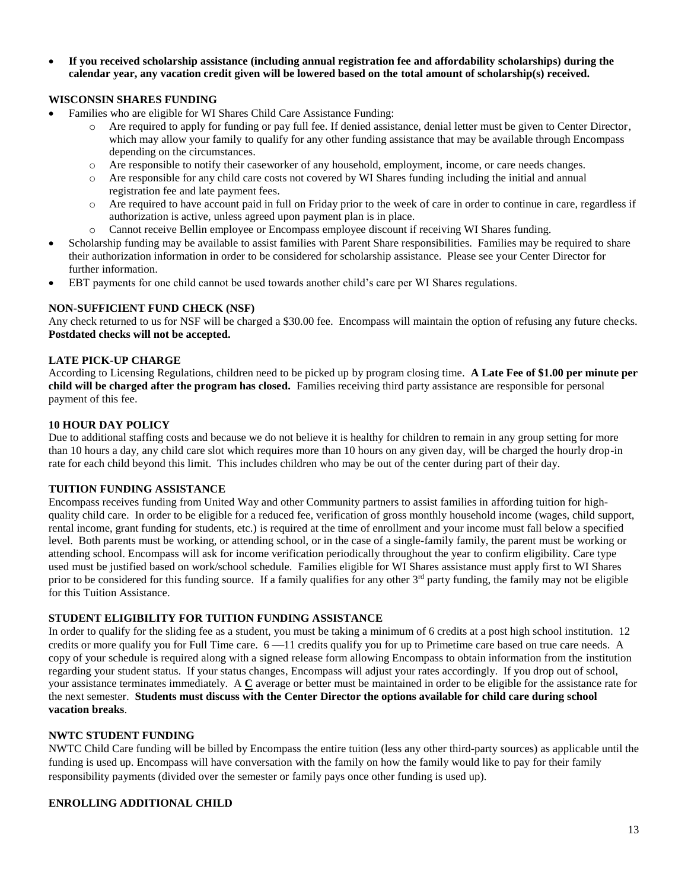• **If you received scholarship assistance (including annual registration fee and affordability scholarships) during the calendar year, any vacation credit given will be lowered based on the total amount of scholarship(s) received.** 

#### **WISCONSIN SHARES FUNDING**

- Families who are eligible for WI Shares Child Care Assistance Funding:
	- o Are required to apply for funding or pay full fee. If denied assistance, denial letter must be given to Center Director, which may allow your family to qualify for any other funding assistance that may be available through Encompass depending on the circumstances.
	- o Are responsible to notify their caseworker of any household, employment, income, or care needs changes.
	- o Are responsible for any child care costs not covered by WI Shares funding including the initial and annual registration fee and late payment fees.
	- o Are required to have account paid in full on Friday prior to the week of care in order to continue in care, regardless if authorization is active, unless agreed upon payment plan is in place.
	- o Cannot receive Bellin employee or Encompass employee discount if receiving WI Shares funding.
- Scholarship funding may be available to assist families with Parent Share responsibilities. Families may be required to share their authorization information in order to be considered for scholarship assistance. Please see your Center Director for further information.
- EBT payments for one child cannot be used towards another child's care per WI Shares regulations.

#### **NON-SUFFICIENT FUND CHECK (NSF)**

Any check returned to us for NSF will be charged a \$30.00 fee. Encompass will maintain the option of refusing any future checks. **Postdated checks will not be accepted.**

#### **LATE PICK-UP CHARGE**

According to Licensing Regulations, children need to be picked up by program closing time. **A Late Fee of \$1.00 per minute per child will be charged after the program has closed.** Families receiving third party assistance are responsible for personal payment of this fee.

#### **10 HOUR DAY POLICY**

Due to additional staffing costs and because we do not believe it is healthy for children to remain in any group setting for more than 10 hours a day, any child care slot which requires more than 10 hours on any given day, will be charged the hourly drop-in rate for each child beyond this limit. This includes children who may be out of the center during part of their day.

#### **TUITION FUNDING ASSISTANCE**

Encompass receives funding from United Way and other Community partners to assist families in affording tuition for highquality child care. In order to be eligible for a reduced fee, verification of gross monthly household income (wages, child support, rental income, grant funding for students, etc.) is required at the time of enrollment and your income must fall below a specified level. Both parents must be working, or attending school, or in the case of a single-family family, the parent must be working or attending school. Encompass will ask for income verification periodically throughout the year to confirm eligibility. Care type used must be justified based on work/school schedule. Families eligible for WI Shares assistance must apply first to WI Shares prior to be considered for this funding source. If a family qualifies for any other  $3<sup>rd</sup>$  party funding, the family may not be eligible for this Tuition Assistance.

#### **STUDENT ELIGIBILITY FOR TUITION FUNDING ASSISTANCE**

In order to qualify for the sliding fee as a student, you must be taking a minimum of 6 credits at a post high school institution. 12 credits or more qualify you for Full Time care.  $6 -11$  credits qualify you for up to Primetime care based on true care needs. A copy of your schedule is required along with a signed release form allowing Encompass to obtain information from the institution regarding your student status. If your status changes, Encompass will adjust your rates accordingly. If you drop out of school, your assistance terminates immediately. A **C** average or better must be maintained in order to be eligible for the assistance rate for the next semester. **Students must discuss with the Center Director the options available for child care during school vacation breaks**.

#### **NWTC STUDENT FUNDING**

NWTC Child Care funding will be billed by Encompass the entire tuition (less any other third-party sources) as applicable until the funding is used up. Encompass will have conversation with the family on how the family would like to pay for their family responsibility payments (divided over the semester or family pays once other funding is used up).

#### **ENROLLING ADDITIONAL CHILD**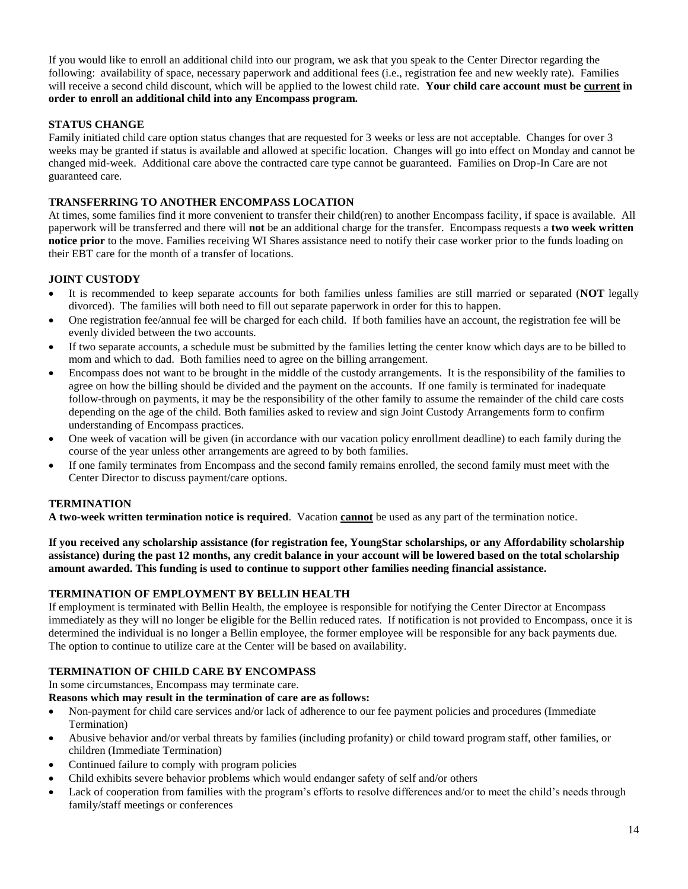If you would like to enroll an additional child into our program, we ask that you speak to the Center Director regarding the following: availability of space, necessary paperwork and additional fees (i.e., registration fee and new weekly rate). Families will receive a second child discount, which will be applied to the lowest child rate. **Your child care account must be current in order to enroll an additional child into any Encompass program.**

#### **STATUS CHANGE**

Family initiated child care option status changes that are requested for 3 weeks or less are not acceptable. Changes for over 3 weeks may be granted if status is available and allowed at specific location. Changes will go into effect on Monday and cannot be changed mid-week. Additional care above the contracted care type cannot be guaranteed. Families on Drop-In Care are not guaranteed care.

#### **TRANSFERRING TO ANOTHER ENCOMPASS LOCATION**

At times, some families find it more convenient to transfer their child(ren) to another Encompass facility, if space is available. All paperwork will be transferred and there will **not** be an additional charge for the transfer. Encompass requests a **two week written notice prior** to the move. Families receiving WI Shares assistance need to notify their case worker prior to the funds loading on their EBT care for the month of a transfer of locations.

#### **JOINT CUSTODY**

- It is recommended to keep separate accounts for both families unless families are still married or separated (**NOT** legally divorced). The families will both need to fill out separate paperwork in order for this to happen.
- One registration fee/annual fee will be charged for each child. If both families have an account, the registration fee will be evenly divided between the two accounts.
- If two separate accounts, a schedule must be submitted by the families letting the center know which days are to be billed to mom and which to dad. Both families need to agree on the billing arrangement.
- Encompass does not want to be brought in the middle of the custody arrangements. It is the responsibility of the families to agree on how the billing should be divided and the payment on the accounts. If one family is terminated for inadequate follow-through on payments, it may be the responsibility of the other family to assume the remainder of the child care costs depending on the age of the child. Both families asked to review and sign Joint Custody Arrangements form to confirm understanding of Encompass practices.
- One week of vacation will be given (in accordance with our vacation policy enrollment deadline) to each family during the course of the year unless other arrangements are agreed to by both families.
- If one family terminates from Encompass and the second family remains enrolled, the second family must meet with the Center Director to discuss payment/care options.

#### **TERMINATION**

**A two-week written termination notice is required**. Vacation **cannot** be used as any part of the termination notice.

**If you received any scholarship assistance (for registration fee, YoungStar scholarships, or any Affordability scholarship assistance) during the past 12 months, any credit balance in your account will be lowered based on the total scholarship amount awarded. This funding is used to continue to support other families needing financial assistance.** 

#### **TERMINATION OF EMPLOYMENT BY BELLIN HEALTH**

If employment is terminated with Bellin Health, the employee is responsible for notifying the Center Director at Encompass immediately as they will no longer be eligible for the Bellin reduced rates. If notification is not provided to Encompass, once it is determined the individual is no longer a Bellin employee, the former employee will be responsible for any back payments due. The option to continue to utilize care at the Center will be based on availability.

#### **TERMINATION OF CHILD CARE BY ENCOMPASS**

In some circumstances, Encompass may terminate care.

#### **Reasons which may result in the termination of care are as follows:**

- Non-payment for child care services and/or lack of adherence to our fee payment policies and procedures (Immediate Termination)
- Abusive behavior and/or verbal threats by families (including profanity) or child toward program staff, other families, or children (Immediate Termination)
- Continued failure to comply with program policies
- Child exhibits severe behavior problems which would endanger safety of self and/or others
- Lack of cooperation from families with the program's efforts to resolve differences and/or to meet the child's needs through family/staff meetings or conferences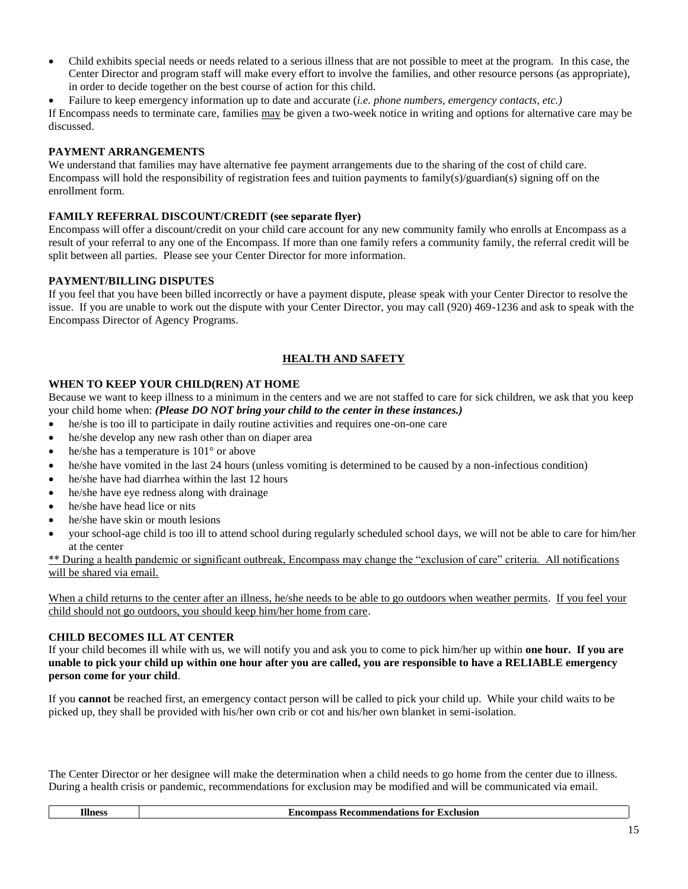• Child exhibits special needs or needs related to a serious illness that are not possible to meet at the program. In this case, the Center Director and program staff will make every effort to involve the families, and other resource persons (as appropriate), in order to decide together on the best course of action for this child.

• Failure to keep emergency information up to date and accurate (*i.e. phone numbers, emergency contacts, etc.)* If Encompass needs to terminate care, families may be given a two-week notice in writing and options for alternative care may be discussed.

### **PAYMENT ARRANGEMENTS**

We understand that families may have alternative fee payment arrangements due to the sharing of the cost of child care. Encompass will hold the responsibility of registration fees and tuition payments to family(s)/guardian(s) signing off on the enrollment form.

#### **FAMILY REFERRAL DISCOUNT/CREDIT (see separate flyer)**

Encompass will offer a discount/credit on your child care account for any new community family who enrolls at Encompass as a result of your referral to any one of the Encompass. If more than one family refers a community family, the referral credit will be split between all parties. Please see your Center Director for more information.

#### **PAYMENT/BILLING DISPUTES**

If you feel that you have been billed incorrectly or have a payment dispute, please speak with your Center Director to resolve the issue. If you are unable to work out the dispute with your Center Director, you may call (920) 469-1236 and ask to speak with the Encompass Director of Agency Programs.

# **HEALTH AND SAFETY**

#### **WHEN TO KEEP YOUR CHILD(REN) AT HOME**

Because we want to keep illness to a minimum in the centers and we are not staffed to care for sick children, we ask that you keep your child home when: *(Please DO NOT bring your child to the center in these instances.)*

- he/she is too ill to participate in daily routine activities and requires one-on-one care
- he/she develop any new rash other than on diaper area
- he/she has a temperature is 101° or above
- he/she have vomited in the last 24 hours (unless vomiting is determined to be caused by a non-infectious condition)
- he/she have had diarrhea within the last 12 hours
- he/she have eye redness along with drainage
- he/she have head lice or nits
- he/she have skin or mouth lesions
- your school-age child is too ill to attend school during regularly scheduled school days, we will not be able to care for him/her at the center

\*\* During a health pandemic or significant outbreak, Encompass may change the "exclusion of care" criteria. All notifications will be shared via email.

When a child returns to the center after an illness, he/she needs to be able to go outdoors when weather permits. If you feel your child should not go outdoors, you should keep him/her home from care.

#### **CHILD BECOMES ILL AT CENTER**

If your child becomes ill while with us, we will notify you and ask you to come to pick him/her up within **one hour. If you are unable to pick your child up within one hour after you are called, you are responsible to have a RELIABLE emergency person come for your child**.

If you **cannot** be reached first, an emergency contact person will be called to pick your child up. While your child waits to be picked up, they shall be provided with his/her own crib or cot and his/her own blanket in semi-isolation.

The Center Director or her designee will make the determination when a child needs to go home from the center due to illness. During a health crisis or pandemic, recommendations for exclusion may be modified and will be communicated via email.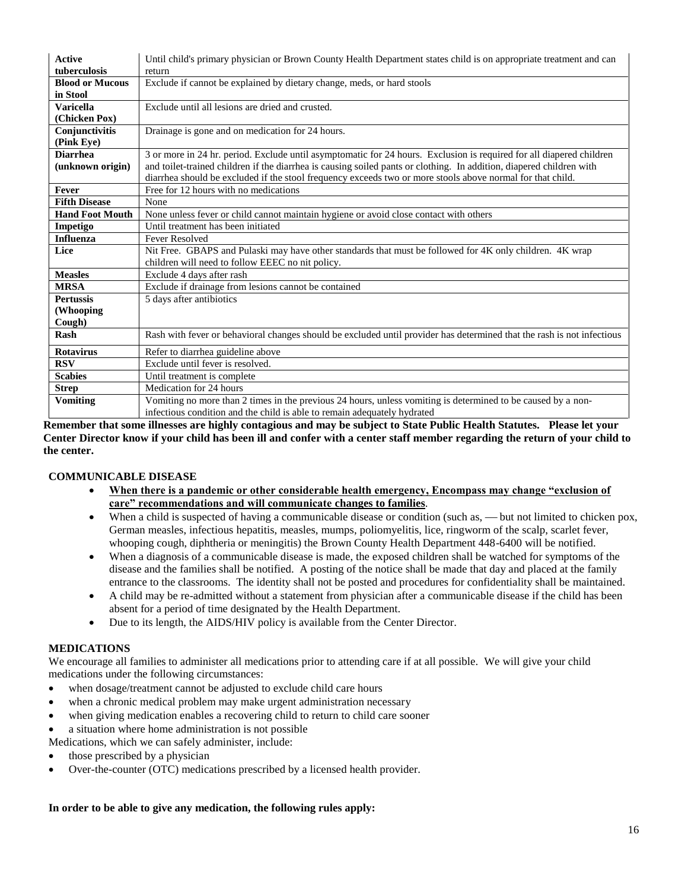| <b>Active</b>          | Until child's primary physician or Brown County Health Department states child is on appropriate treatment and can     |
|------------------------|------------------------------------------------------------------------------------------------------------------------|
| tuberculosis           | return                                                                                                                 |
| <b>Blood or Mucous</b> | Exclude if cannot be explained by dietary change, meds, or hard stools                                                 |
| in Stool               |                                                                                                                        |
| <b>Varicella</b>       | Exclude until all lesions are dried and crusted.                                                                       |
| (Chicken Pox)          |                                                                                                                        |
| Conjunctivitis         | Drainage is gone and on medication for 24 hours.                                                                       |
| (Pink Eye)             |                                                                                                                        |
| <b>Diarrhea</b>        | 3 or more in 24 hr. period. Exclude until asymptomatic for 24 hours. Exclusion is required for all diapered children   |
| (unknown origin)       | and toilet-trained children if the diarrhea is causing soiled pants or clothing. In addition, diapered children with   |
|                        | diarrhea should be excluded if the stool frequency exceeds two or more stools above normal for that child.             |
| <b>Fever</b>           | Free for 12 hours with no medications                                                                                  |
| <b>Fifth Disease</b>   | None                                                                                                                   |
| <b>Hand Foot Mouth</b> | None unless fever or child cannot maintain hygiene or avoid close contact with others                                  |
| Impetigo               | Until treatment has been initiated                                                                                     |
| <b>Influenza</b>       | <b>Fever Resolved</b>                                                                                                  |
| Lice                   | Nit Free. GBAPS and Pulaski may have other standards that must be followed for 4K only children. 4K wrap               |
|                        | children will need to follow EEEC no nit policy.                                                                       |
| <b>Measles</b>         | Exclude 4 days after rash                                                                                              |
| <b>MRSA</b>            | Exclude if drainage from lesions cannot be contained                                                                   |
| <b>Pertussis</b>       | 5 days after antibiotics                                                                                               |
| (Whooping              |                                                                                                                        |
| Cough)                 |                                                                                                                        |
| Rash                   | Rash with fever or behavioral changes should be excluded until provider has determined that the rash is not infectious |
| <b>Rotavirus</b>       | Refer to diarrhea guideline above                                                                                      |
| <b>RSV</b>             | Exclude until fever is resolved.                                                                                       |
| <b>Scabies</b>         | Until treatment is complete.                                                                                           |
| <b>Strep</b>           | Medication for 24 hours                                                                                                |
| <b>Vomiting</b>        | Vomiting no more than 2 times in the previous 24 hours, unless vomiting is determined to be caused by a non-           |
|                        | infectious condition and the child is able to remain adequately hydrated                                               |

**Remember that some illnesses are highly contagious and may be subject to State Public Health Statutes. Please let your Center Director know if your child has been ill and confer with a center staff member regarding the return of your child to the center.**

#### **COMMUNICABLE DISEASE**

- **When there is a pandemic or other considerable health emergency, Encompass may change "exclusion of care" recommendations and will communicate changes to families**.
- When a child is suspected of having a communicable disease or condition (such as, but not limited to chicken pox, German measles, infectious hepatitis, measles, mumps, poliomyelitis, lice, ringworm of the scalp, scarlet fever, whooping cough, diphtheria or meningitis) the Brown County Health Department 448-6400 will be notified.
- When a diagnosis of a communicable disease is made, the exposed children shall be watched for symptoms of the disease and the families shall be notified. A posting of the notice shall be made that day and placed at the family entrance to the classrooms. The identity shall not be posted and procedures for confidentiality shall be maintained.
- A child may be re-admitted without a statement from physician after a communicable disease if the child has been absent for a period of time designated by the Health Department.
- Due to its length, the AIDS/HIV policy is available from the Center Director.

#### **MEDICATIONS**

We encourage all families to administer all medications prior to attending care if at all possible. We will give your child medications under the following circumstances:

- when dosage/treatment cannot be adjusted to exclude child care hours
- when a chronic medical problem may make urgent administration necessary
- when giving medication enables a recovering child to return to child care sooner
- a situation where home administration is not possible
- Medications, which we can safely administer, include:
- those prescribed by a physician
- Over-the-counter (OTC) medications prescribed by a licensed health provider.

#### **In order to be able to give any medication, the following rules apply:**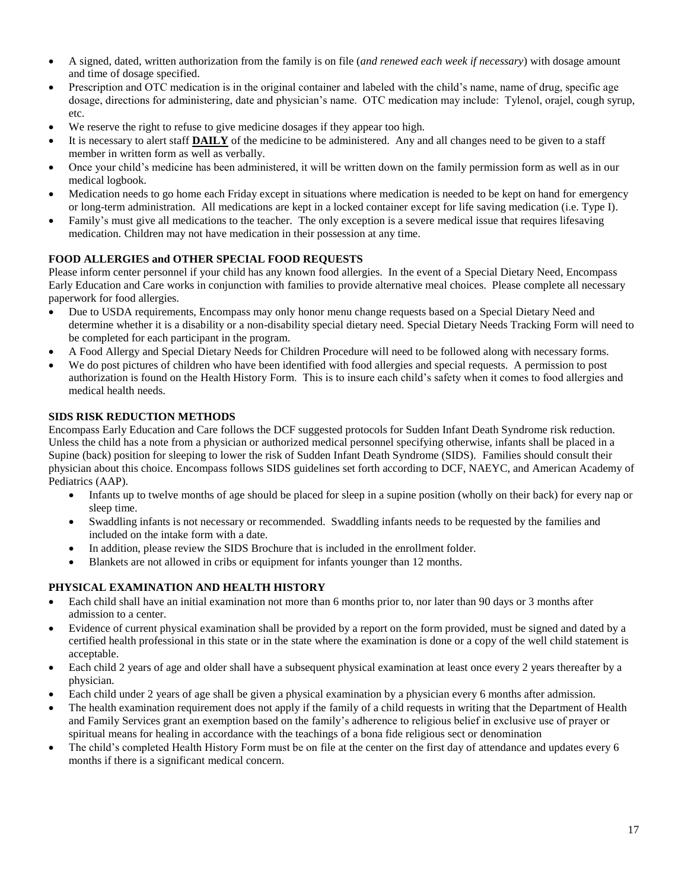- A signed, dated, written authorization from the family is on file (*and renewed each week if necessary*) with dosage amount and time of dosage specified.
- Prescription and OTC medication is in the original container and labeled with the child's name, name of drug, specific age dosage, directions for administering, date and physician's name. OTC medication may include: Tylenol, orajel, cough syrup, etc.
- We reserve the right to refuse to give medicine dosages if they appear too high.
- It is necessary to alert staff **DAILY** of the medicine to be administered. Any and all changes need to be given to a staff member in written form as well as verbally.
- Once your child's medicine has been administered, it will be written down on the family permission form as well as in our medical logbook.
- Medication needs to go home each Friday except in situations where medication is needed to be kept on hand for emergency or long-term administration. All medications are kept in a locked container except for life saving medication (i.e. Type I).
- Family's must give all medications to the teacher. The only exception is a severe medical issue that requires lifesaving medication. Children may not have medication in their possession at any time.

# **FOOD ALLERGIES and OTHER SPECIAL FOOD REQUESTS**

Please inform center personnel if your child has any known food allergies. In the event of a Special Dietary Need, Encompass Early Education and Care works in conjunction with families to provide alternative meal choices. Please complete all necessary paperwork for food allergies.

- Due to USDA requirements, Encompass may only honor menu change requests based on a Special Dietary Need and determine whether it is a disability or a non-disability special dietary need. Special Dietary Needs Tracking Form will need to be completed for each participant in the program.
- A Food Allergy and Special Dietary Needs for Children Procedure will need to be followed along with necessary forms.
- We do post pictures of children who have been identified with food allergies and special requests. A permission to post authorization is found on the Health History Form. This is to insure each child's safety when it comes to food allergies and medical health needs.

#### **SIDS RISK REDUCTION METHODS**

Encompass Early Education and Care follows the DCF suggested protocols for Sudden Infant Death Syndrome risk reduction. Unless the child has a note from a physician or authorized medical personnel specifying otherwise, infants shall be placed in a Supine (back) position for sleeping to lower the risk of Sudden Infant Death Syndrome (SIDS). Families should consult their physician about this choice. Encompass follows SIDS guidelines set forth according to DCF, NAEYC, and American Academy of Pediatrics (AAP).

- Infants up to twelve months of age should be placed for sleep in a supine position (wholly on their back) for every nap or sleep time.
- Swaddling infants is not necessary or recommended. Swaddling infants needs to be requested by the families and included on the intake form with a date.
- In addition, please review the SIDS Brochure that is included in the enrollment folder.
- Blankets are not allowed in cribs or equipment for infants younger than 12 months.

#### **PHYSICAL EXAMINATION AND HEALTH HISTORY**

- Each child shall have an initial examination not more than 6 months prior to, nor later than 90 days or 3 months after admission to a center.
- Evidence of current physical examination shall be provided by a report on the form provided, must be signed and dated by a certified health professional in this state or in the state where the examination is done or a copy of the well child statement is acceptable.
- Each child 2 years of age and older shall have a subsequent physical examination at least once every 2 years thereafter by a physician.
- Each child under 2 years of age shall be given a physical examination by a physician every 6 months after admission.
- The health examination requirement does not apply if the family of a child requests in writing that the Department of Health and Family Services grant an exemption based on the family's adherence to religious belief in exclusive use of prayer or spiritual means for healing in accordance with the teachings of a bona fide religious sect or denomination
- The child's completed Health History Form must be on file at the center on the first day of attendance and updates every 6 months if there is a significant medical concern.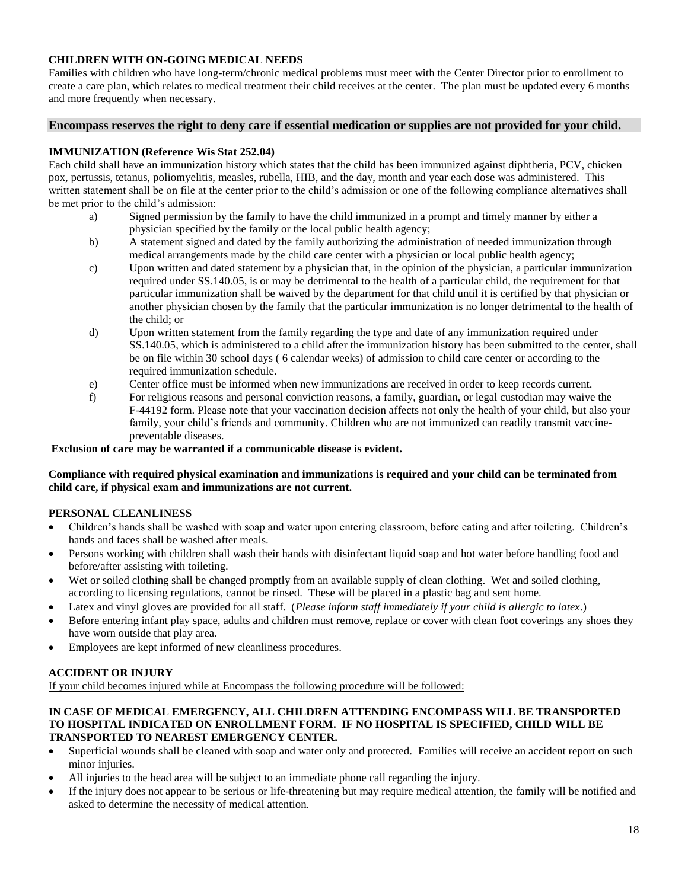#### **CHILDREN WITH ON-GOING MEDICAL NEEDS**

Families with children who have long-term/chronic medical problems must meet with the Center Director prior to enrollment to create a care plan, which relates to medical treatment their child receives at the center. The plan must be updated every 6 months and more frequently when necessary.

#### **Encompass reserves the right to deny care if essential medication or supplies are not provided for your child.**

#### **IMMUNIZATION (Reference Wis Stat 252.04)**

Each child shall have an immunization history which states that the child has been immunized against diphtheria, PCV, chicken pox, pertussis, tetanus, poliomyelitis, measles, rubella, HIB, and the day, month and year each dose was administered. This written statement shall be on file at the center prior to the child's admission or one of the following compliance alternatives shall be met prior to the child's admission:

- a) Signed permission by the family to have the child immunized in a prompt and timely manner by either a physician specified by the family or the local public health agency;
- b) A statement signed and dated by the family authorizing the administration of needed immunization through medical arrangements made by the child care center with a physician or local public health agency;
- c) Upon written and dated statement by a physician that, in the opinion of the physician, a particular immunization required under SS.140.05, is or may be detrimental to the health of a particular child, the requirement for that particular immunization shall be waived by the department for that child until it is certified by that physician or another physician chosen by the family that the particular immunization is no longer detrimental to the health of the child; or
- d) Upon written statement from the family regarding the type and date of any immunization required under SS.140.05, which is administered to a child after the immunization history has been submitted to the center, shall be on file within 30 school days ( 6 calendar weeks) of admission to child care center or according to the required immunization schedule.
- e) Center office must be informed when new immunizations are received in order to keep records current.
- f) For religious reasons and personal conviction reasons, a family, guardian, or legal custodian may waive the F-44192 form. Please note that your vaccination decision affects not only the health of your child, but also your family, your child's friends and community. Children who are not immunized can readily transmit vaccinepreventable diseases.

#### **Exclusion of care may be warranted if a communicable disease is evident.**

#### **Compliance with required physical examination and immunizations is required and your child can be terminated from child care, if physical exam and immunizations are not current.**

#### **PERSONAL CLEANLINESS**

- Children's hands shall be washed with soap and water upon entering classroom, before eating and after toileting. Children's hands and faces shall be washed after meals.
- Persons working with children shall wash their hands with disinfectant liquid soap and hot water before handling food and before/after assisting with toileting.
- Wet or soiled clothing shall be changed promptly from an available supply of clean clothing. Wet and soiled clothing, according to licensing regulations, cannot be rinsed. These will be placed in a plastic bag and sent home.
- Latex and vinyl gloves are provided for all staff. (*Please inform staff immediately if your child is allergic to latex*.)
- Before entering infant play space, adults and children must remove, replace or cover with clean foot coverings any shoes they have worn outside that play area.
- Employees are kept informed of new cleanliness procedures.

#### **ACCIDENT OR INJURY**

If your child becomes injured while at Encompass the following procedure will be followed:

#### **IN CASE OF MEDICAL EMERGENCY, ALL CHILDREN ATTENDING ENCOMPASS WILL BE TRANSPORTED TO HOSPITAL INDICATED ON ENROLLMENT FORM. IF NO HOSPITAL IS SPECIFIED, CHILD WILL BE TRANSPORTED TO NEAREST EMERGENCY CENTER.**

- Superficial wounds shall be cleaned with soap and water only and protected. Families will receive an accident report on such minor injuries.
- All injuries to the head area will be subject to an immediate phone call regarding the injury.
- If the injury does not appear to be serious or life-threatening but may require medical attention, the family will be notified and asked to determine the necessity of medical attention.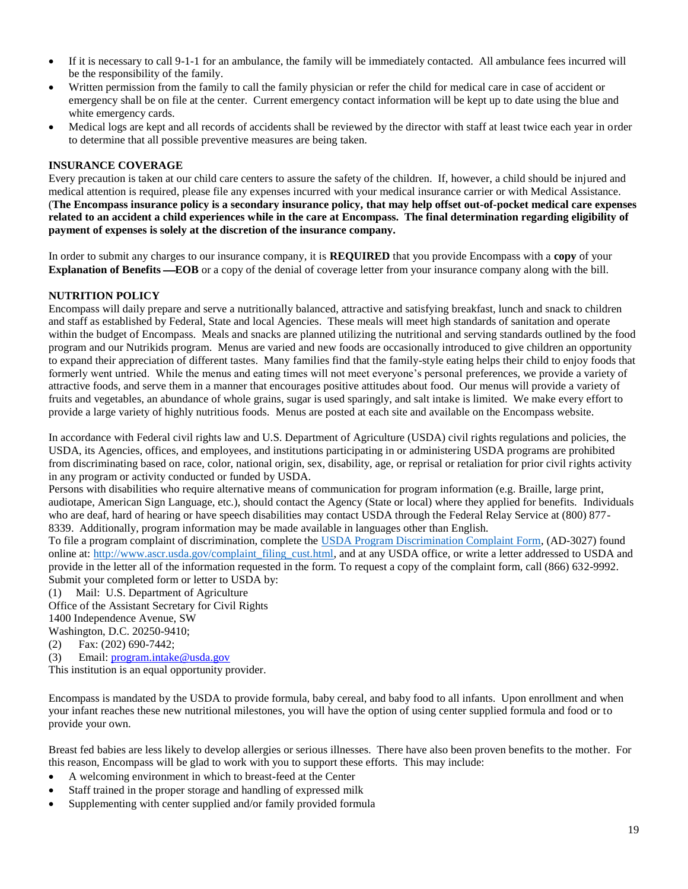- If it is necessary to call 9-1-1 for an ambulance, the family will be immediately contacted. All ambulance fees incurred will be the responsibility of the family.
- Written permission from the family to call the family physician or refer the child for medical care in case of accident or emergency shall be on file at the center. Current emergency contact information will be kept up to date using the blue and white emergency cards.
- Medical logs are kept and all records of accidents shall be reviewed by the director with staff at least twice each year in order to determine that all possible preventive measures are being taken.

#### **INSURANCE COVERAGE**

Every precaution is taken at our child care centers to assure the safety of the children. If, however, a child should be injured and medical attention is required, please file any expenses incurred with your medical insurance carrier or with Medical Assistance. (**The Encompass insurance policy is a secondary insurance policy, that may help offset out-of-pocket medical care expenses related to an accident a child experiences while in the care at Encompass. The final determination regarding eligibility of payment of expenses is solely at the discretion of the insurance company.** 

In order to submit any charges to our insurance company, it is **REQUIRED** that you provide Encompass with a **copy** of your **Explanation of Benefits—EOB** or a copy of the denial of coverage letter from your insurance company along with the bill.

#### **NUTRITION POLICY**

Encompass will daily prepare and serve a nutritionally balanced, attractive and satisfying breakfast, lunch and snack to children and staff as established by Federal, State and local Agencies. These meals will meet high standards of sanitation and operate within the budget of Encompass. Meals and snacks are planned utilizing the nutritional and serving standards outlined by the food program and our Nutrikids program. Menus are varied and new foods are occasionally introduced to give children an opportunity to expand their appreciation of different tastes. Many families find that the family-style eating helps their child to enjoy foods that formerly went untried. While the menus and eating times will not meet everyone's personal preferences, we provide a variety of attractive foods, and serve them in a manner that encourages positive attitudes about food. Our menus will provide a variety of fruits and vegetables, an abundance of whole grains, sugar is used sparingly, and salt intake is limited. We make every effort to provide a large variety of highly nutritious foods. Menus are posted at each site and available on the Encompass website.

In accordance with Federal civil rights law and U.S. Department of Agriculture (USDA) civil rights regulations and policies, the USDA, its Agencies, offices, and employees, and institutions participating in or administering USDA programs are prohibited from discriminating based on race, color, national origin, sex, disability, age, or reprisal or retaliation for prior civil rights activity in any program or activity conducted or funded by USDA.

Persons with disabilities who require alternative means of communication for program information (e.g. Braille, large print, audiotape, American Sign Language, etc.), should contact the Agency (State or local) where they applied for benefits. Individuals who are deaf, hard of hearing or have speech disabilities may contact USDA through the Federal Relay Service at (800) 877-8339. Additionally, program information may be made available in languages other than English.

To file a program complaint of discrimination, complete the [USDA Program Discrimination Complaint Form,](http://www.ocio.usda.gov/sites/default/files/docs/2012/Complain_combined_6_8_12.pdf) (AD-3027) found online at: [http://www.ascr.usda.gov/complaint\\_filing\\_cust.html,](http://www.ascr.usda.gov/complaint_filing_cust.html) and at any USDA office, or write a letter addressed to USDA and provide in the letter all of the information requested in the form. To request a copy of the complaint form, call (866) 632-9992. Submit your completed form or letter to USDA by:

(1) Mail: U.S. Department of Agriculture

Office of the Assistant Secretary for Civil Rights 1400 Independence Avenue, SW Washington, D.C. 20250-9410;

(2) Fax: (202) 690-7442;

(3) Email: [program.intake@usda.gov](mailto:program.intake@usda.gov)

This institution is an equal opportunity provider.

Encompass is mandated by the USDA to provide formula, baby cereal, and baby food to all infants. Upon enrollment and when your infant reaches these new nutritional milestones, you will have the option of using center supplied formula and food or to provide your own.

Breast fed babies are less likely to develop allergies or serious illnesses. There have also been proven benefits to the mother. For this reason, Encompass will be glad to work with you to support these efforts. This may include:

- A welcoming environment in which to breast-feed at the Center
- Staff trained in the proper storage and handling of expressed milk
- Supplementing with center supplied and/or family provided formula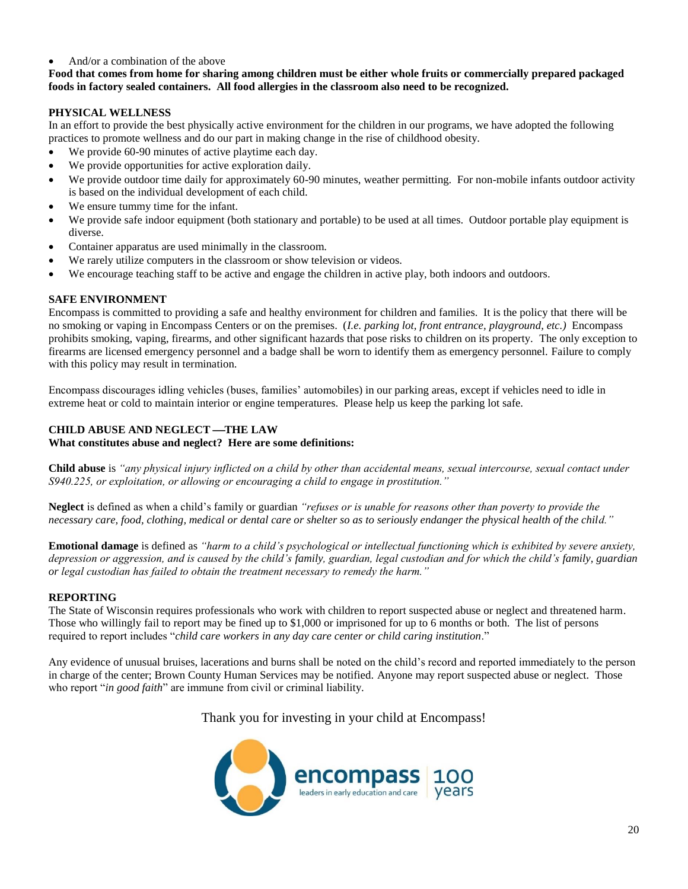#### • And/or a combination of the above

#### **Food that comes from home for sharing among children must be either whole fruits or commercially prepared packaged foods in factory sealed containers. All food allergies in the classroom also need to be recognized.**

#### **PHYSICAL WELLNESS**

In an effort to provide the best physically active environment for the children in our programs, we have adopted the following practices to promote wellness and do our part in making change in the rise of childhood obesity.

- We provide 60-90 minutes of active playtime each day.
- We provide opportunities for active exploration daily.
- We provide outdoor time daily for approximately 60-90 minutes, weather permitting. For non-mobile infants outdoor activity is based on the individual development of each child.
- We ensure tummy time for the infant.
- We provide safe indoor equipment (both stationary and portable) to be used at all times. Outdoor portable play equipment is diverse.
- Container apparatus are used minimally in the classroom.
- We rarely utilize computers in the classroom or show television or videos.
- We encourage teaching staff to be active and engage the children in active play, both indoors and outdoors.

#### **SAFE ENVIRONMENT**

Encompass is committed to providing a safe and healthy environment for children and families. It is the policy that there will be no smoking or vaping in Encompass Centers or on the premises. (*I.e. parking lot, front entrance, playground, etc.)* Encompass prohibits smoking, vaping, firearms, and other significant hazards that pose risks to children on its property. The only exception to firearms are licensed emergency personnel and a badge shall be worn to identify them as emergency personnel. Failure to comply with this policy may result in termination.

Encompass discourages idling vehicles (buses, families' automobiles) in our parking areas, except if vehicles need to idle in extreme heat or cold to maintain interior or engine temperatures. Please help us keep the parking lot safe.

#### **CHILD ABUSE AND NEGLECT —THE LAW**

**What constitutes abuse and neglect? Here are some definitions:**

**Child abuse** is *"any physical injury inflicted on a child by other than accidental means, sexual intercourse, sexual contact under S940.225, or exploitation, or allowing or encouraging a child to engage in prostitution."*

**Neglect** is defined as when a child's family or guardian *"refuses or is unable for reasons other than poverty to provide the necessary care, food, clothing, medical or dental care or shelter so as to seriously endanger the physical health of the child."*

**Emotional damage** is defined as *"harm to a child's psychological or intellectual functioning which is exhibited by severe anxiety, depression or aggression, and is caused by the child's family, guardian, legal custodian and for which the child's family, guardian or legal custodian has failed to obtain the treatment necessary to remedy the harm."*

#### **REPORTING**

The State of Wisconsin requires professionals who work with children to report suspected abuse or neglect and threatened harm. Those who willingly fail to report may be fined up to \$1,000 or imprisoned for up to 6 months or both. The list of persons required to report includes "*child care workers in any day care center or child caring institution*."

Any evidence of unusual bruises, lacerations and burns shall be noted on the child's record and reported immediately to the person in charge of the center; Brown County Human Services may be notified. Anyone may report suspected abuse or neglect. Those who report "*in good faith*" are immune from civil or criminal liability.

Thank you for investing in your child at Encompass!

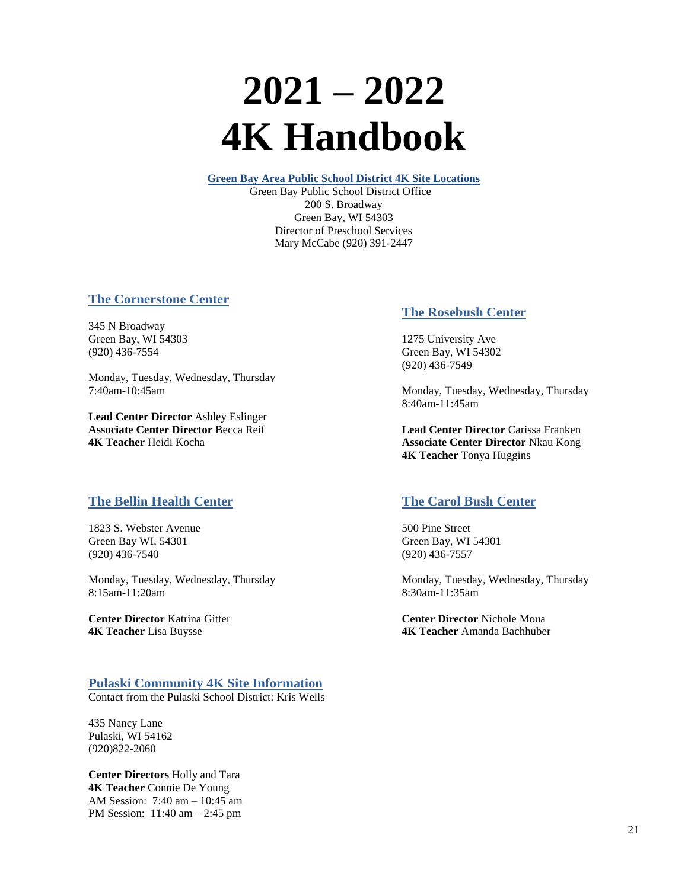# **2021 – 2022 4K Handbook**

**Green Bay Area Public School District 4K Site Locations**

 Green Bay Public School District Office 200 S. Broadway Green Bay, WI 54303 Director of Preschool Services Mary McCabe (920) 391-2447

# **The Cornerstone Center**

345 N Broadway Green Bay, WI 54303 (920) 436-7554

Monday, Tuesday, Wednesday, Thursday 7:40am-10:45am

**Lead Center Director** Ashley Eslinger **Associate Center Director** Becca Reif **4K Teacher** Heidi Kocha

# **The Bellin Health Center**

1823 S. Webster Avenue Green Bay WI, 54301 (920) 436-7540

Monday, Tuesday, Wednesday, Thursday 8:15am-11:20am

**Center Director** Katrina Gitter **4K Teacher** Lisa Buysse

# **Pulaski Community 4K Site Information**

Contact from the Pulaski School District: Kris Wells

435 Nancy Lane Pulaski, WI 54162 (920)822-2060

**Center Directors** Holly and Tara **4K Teacher** Connie De Young AM Session: 7:40 am – 10:45 am PM Session: 11:40 am – 2:45 pm

# **The Rosebush Center**

1275 University Ave Green Bay, WI 54302 (920) 436-7549

Monday, Tuesday, Wednesday, Thursday 8:40am-11:45am

**Lead Center Director** Carissa Franken **Associate Center Director** Nkau Kong **4K Teacher** Tonya Huggins

# **The Carol Bush Center**

500 Pine Street Green Bay, WI 54301 (920) 436-7557

Monday, Tuesday, Wednesday, Thursday 8:30am-11:35am

**Center Director** Nichole Moua **4K Teacher** Amanda Bachhuber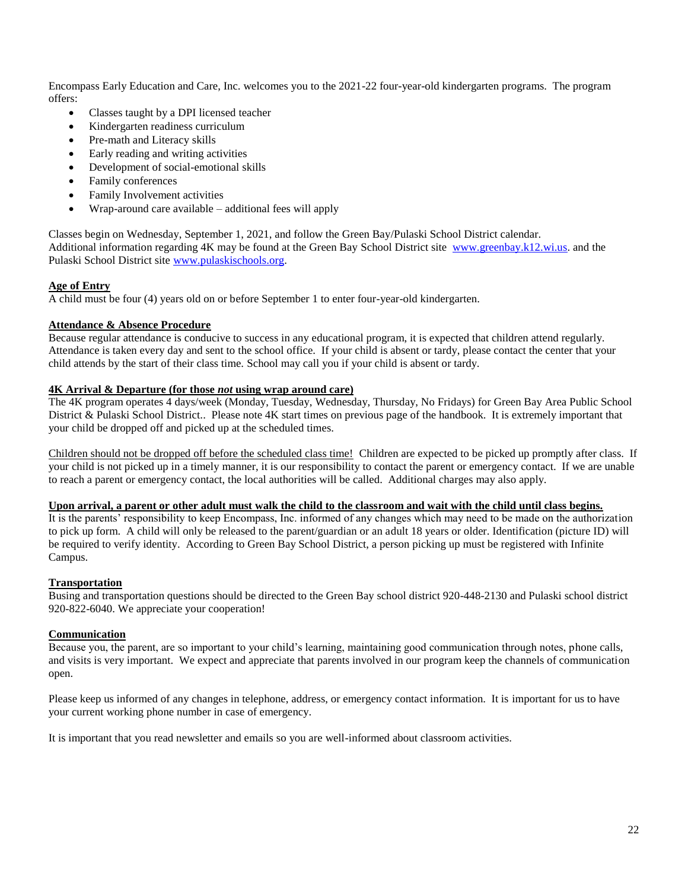Encompass Early Education and Care, Inc. welcomes you to the 2021-22 four-year-old kindergarten programs. The program offers:

- Classes taught by a DPI licensed teacher
- Kindergarten readiness curriculum
- Pre-math and Literacy skills
- Early reading and writing activities
- Development of social-emotional skills
- Family conferences
- Family Involvement activities
- Wrap-around care available additional fees will apply

Classes begin on Wednesday, September 1, 2021, and follow the Green Bay/Pulaski School District calendar. Additional information regarding 4K may be found at the Green Bay School District site [www.greenbay.k12.wi.us.](http://www.greenbay.k12.wi.us/) and the Pulaski School District site [www.pulaskischools.org.](https://www.pulaskischools.org/)

#### **Age of Entry**

A child must be four (4) years old on or before September 1 to enter four-year-old kindergarten.

#### **Attendance & Absence Procedure**

Because regular attendance is conducive to success in any educational program, it is expected that children attend regularly. Attendance is taken every day and sent to the school office. If your child is absent or tardy, please contact the center that your child attends by the start of their class time. School may call you if your child is absent or tardy.

#### **4K Arrival & Departure (for those** *not* **using wrap around care)**

The 4K program operates 4 days/week (Monday, Tuesday, Wednesday, Thursday, No Fridays) for Green Bay Area Public School District & Pulaski School District.. Please note 4K start times on previous page of the handbook. It is extremely important that your child be dropped off and picked up at the scheduled times.

Children should not be dropped off before the scheduled class time! Children are expected to be picked up promptly after class. If your child is not picked up in a timely manner, it is our responsibility to contact the parent or emergency contact. If we are unable to reach a parent or emergency contact, the local authorities will be called. Additional charges may also apply.

#### **Upon arrival, a parent or other adult must walk the child to the classroom and wait with the child until class begins.**

It is the parents' responsibility to keep Encompass, Inc. informed of any changes which may need to be made on the authorization to pick up form. A child will only be released to the parent/guardian or an adult 18 years or older. Identification (picture ID) will be required to verify identity. According to Green Bay School District, a person picking up must be registered with Infinite Campus.

#### **Transportation**

Busing and transportation questions should be directed to the Green Bay school district 920-448-2130 and Pulaski school district 920-822-6040. We appreciate your cooperation!

#### **Communication**

Because you, the parent, are so important to your child's learning, maintaining good communication through notes, phone calls, and visits is very important. We expect and appreciate that parents involved in our program keep the channels of communication open.

Please keep us informed of any changes in telephone, address, or emergency contact information. It is important for us to have your current working phone number in case of emergency.

It is important that you read newsletter and emails so you are well-informed about classroom activities.